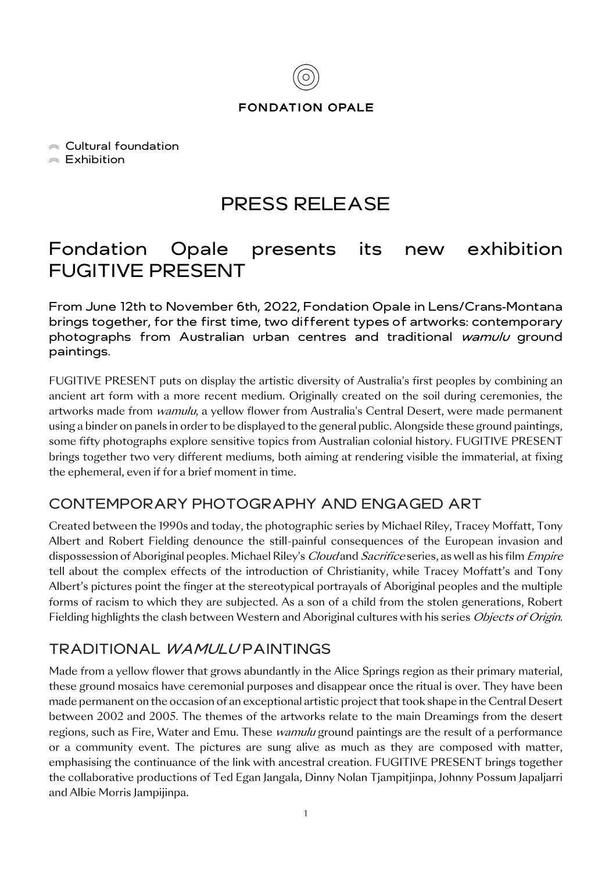

#### **FONDATION OPALE**

Cultural foundation

 $\triangle$  Exhibition

# PRESS RELEASE

# Fondation Opale presents its new exhibition FUGITIVE PRESENT

From June 12th to November 6th, 2022, Fondation Opale in Lens/Crans-Montana brings together, for the first time, two different types of artworks: contemporary photographs from Australian urban centres and traditional wamulu ground paintings.

FUGITIVE PRESENT puts on display the artistic diversity of Australia's first peoples by combining an ancient art form with a more recent medium. Originally created on the soil during ceremonies, the artworks made from *wamulu*, a yellow flower from Australia's Central Desert, were made permanent using a binder on panels in order to be displayed to the general public. Alongside these ground paintings, some fifty photographs explore sensitive topics from Australian colonial history. FUGITIVE PRESENT brings together two very different mediums, both aiming at rendering visible the immaterial, at fixing the ephemeral, even if for a brief moment in time.

## CONTEMPORARY PHOTOGRAPHY AND ENGAGED ART

Created between the 1990s and today, the photographic series by Michael Riley, Tracey Moffatt, Tony Albert and Robert Fielding denounce the still-painful consequences of the European invasion and dispossession of Aboriginal peoples. Michael Riley's *Cloud* and *Sacrifice* series, as well as his film *Empire* tell about the complex effects of the introduction of Christianity, while Tracey Moffatt's and Tony Albert's pictures point the finger at the stereotypical portrayals of Aboriginal peoples and the multiple forms of racism to which they are subjected. As a son of a child from the stolen generations, Robert Fielding highlights the clash between Western and Aboriginal cultures with his series *Objects of Origin*.

## TRADITIONAL *WAMULU* PAINTINGS

Made from a yellow flower that grows abundantly in the Alice Springs region as their primary material, these ground mosaics have ceremonial purposes and disappear once the ritual is over. They have been made permanent on the occasion of an exceptional artistic project that took shape in the Central Desert between 2002 and 2005. The themes of the artworks relate to the main Dreamings from the desert regions, such as Fire, Water and Emu. These *wamulu* ground paintings are the result of a performance or a community event. The pictures are sung alive as much as they are composed with matter, emphasising the continuance of the link with ancestral creation. FUGITIVE PRESENT brings together the collaborative productions of Ted Egan Jangala, Dinny Nolan Tjampitjinpa, Johnny Possum Japaljarri and Albie Morris Jampijinpa.